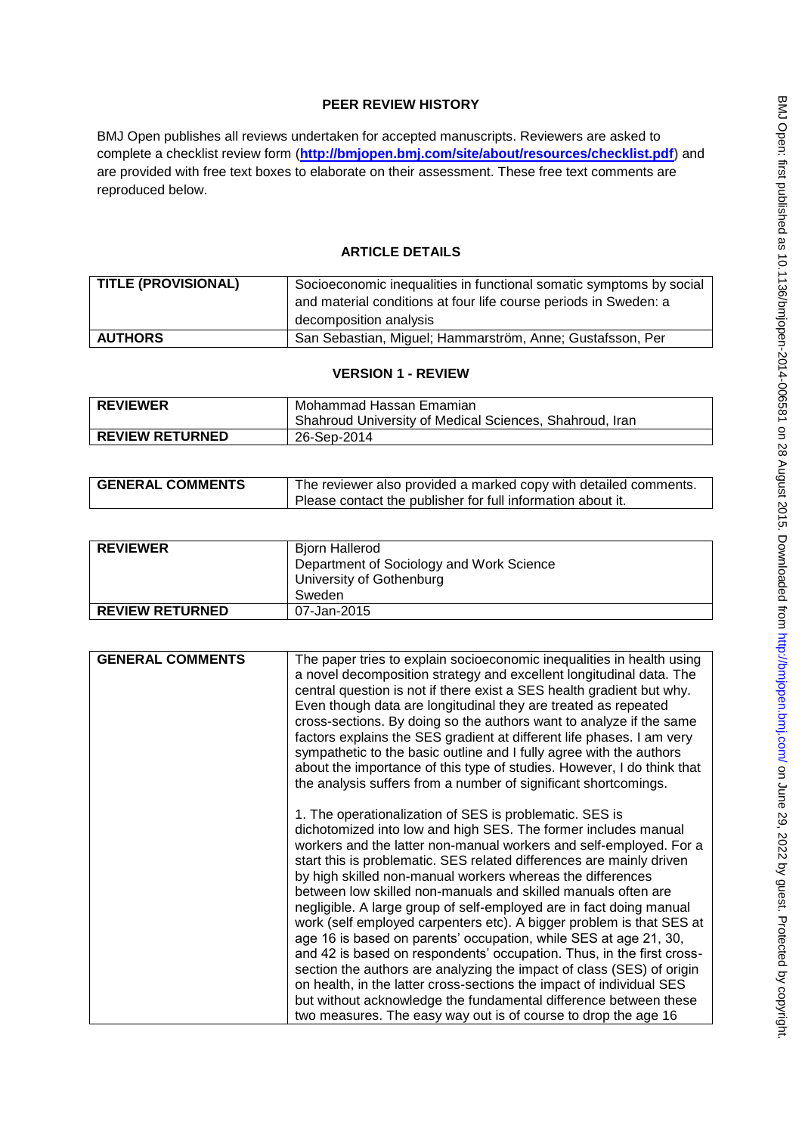# **PEER REVIEW HISTORY**

BMJ Open publishes all reviews undertaken for accepted manuscripts. Reviewers are asked to complete a checklist review form (**[http://bmjopen.bmj.com/site/about/resources/checklist.pdf\)](http://bmjopen.bmj.com/site/about/resources/checklist.pdf)** and are provided with free text boxes to elaborate on their assessment. These free text comments are reproduced below.

# **ARTICLE DETAILS**

| TITLE (PROVISIONAL) | Socioeconomic inequalities in functional somatic symptoms by social |
|---------------------|---------------------------------------------------------------------|
|                     | and material conditions at four life course periods in Sweden: a    |
|                     | decomposition analysis                                              |
| <b>AUTHORS</b>      | San Sebastian, Miguel; Hammarström, Anne; Gustafsson, Per           |

### **VERSION 1 - REVIEW**

| <b>REVIEWER</b>        | Mohammad Hassan Emamian                                 |
|------------------------|---------------------------------------------------------|
|                        | Shahroud University of Medical Sciences, Shahroud, Iran |
| <b>REVIEW RETURNED</b> | 26-Sep-2014                                             |

| <b>GENERAL COMMENTS</b> | The reviewer also provided a marked copy with detailed comments. |
|-------------------------|------------------------------------------------------------------|
|                         | Please contact the publisher for full information about it.      |

| <b>REVIEWER</b>        | Biorn Hallerod<br>Department of Sociology and Work Science<br>University of Gothenburg<br>Sweden |
|------------------------|--------------------------------------------------------------------------------------------------|
| <b>REVIEW RETURNED</b> | 07-Jan-2015                                                                                      |

| <b>GENERAL COMMENTS</b> | The paper tries to explain socioeconomic inequalities in health using<br>a novel decomposition strategy and excellent longitudinal data. The<br>central question is not if there exist a SES health gradient but why.<br>Even though data are longitudinal they are treated as repeated<br>cross-sections. By doing so the authors want to analyze if the same<br>factors explains the SES gradient at different life phases. I am very<br>sympathetic to the basic outline and I fully agree with the authors<br>about the importance of this type of studies. However, I do think that<br>the analysis suffers from a number of significant shortcomings.                                                                                                                                                                                                                                                                                                                               |
|-------------------------|-------------------------------------------------------------------------------------------------------------------------------------------------------------------------------------------------------------------------------------------------------------------------------------------------------------------------------------------------------------------------------------------------------------------------------------------------------------------------------------------------------------------------------------------------------------------------------------------------------------------------------------------------------------------------------------------------------------------------------------------------------------------------------------------------------------------------------------------------------------------------------------------------------------------------------------------------------------------------------------------|
|                         | 1. The operationalization of SES is problematic. SES is<br>dichotomized into low and high SES. The former includes manual<br>workers and the latter non-manual workers and self-employed. For a<br>start this is problematic. SES related differences are mainly driven<br>by high skilled non-manual workers whereas the differences<br>between low skilled non-manuals and skilled manuals often are<br>negligible. A large group of self-employed are in fact doing manual<br>work (self employed carpenters etc). A bigger problem is that SES at<br>age 16 is based on parents' occupation, while SES at age 21, 30,<br>and 42 is based on respondents' occupation. Thus, in the first cross-<br>section the authors are analyzing the impact of class (SES) of origin<br>on health, in the latter cross-sections the impact of individual SES<br>but without acknowledge the fundamental difference between these<br>two measures. The easy way out is of course to drop the age 16 |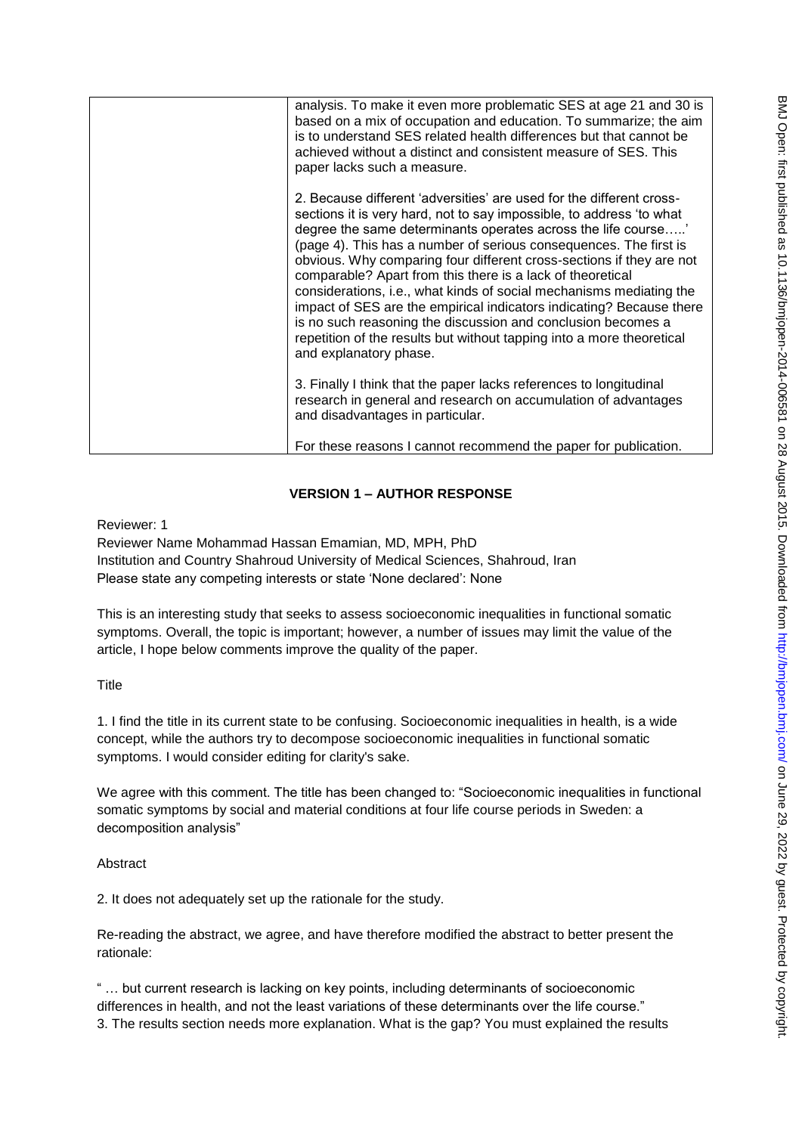| analysis. To make it even more problematic SES at age 21 and 30 is<br>based on a mix of occupation and education. To summarize; the aim<br>is to understand SES related health differences but that cannot be<br>achieved without a distinct and consistent measure of SES. This<br>paper lacks such a measure.                                                                                                                                                                                                                                                                                                                                                                                                                            |
|--------------------------------------------------------------------------------------------------------------------------------------------------------------------------------------------------------------------------------------------------------------------------------------------------------------------------------------------------------------------------------------------------------------------------------------------------------------------------------------------------------------------------------------------------------------------------------------------------------------------------------------------------------------------------------------------------------------------------------------------|
| 2. Because different 'adversities' are used for the different cross-<br>sections it is very hard, not to say impossible, to address 'to what<br>degree the same determinants operates across the life course'<br>(page 4). This has a number of serious consequences. The first is<br>obvious. Why comparing four different cross-sections if they are not<br>comparable? Apart from this there is a lack of theoretical<br>considerations, i.e., what kinds of social mechanisms mediating the<br>impact of SES are the empirical indicators indicating? Because there<br>is no such reasoning the discussion and conclusion becomes a<br>repetition of the results but without tapping into a more theoretical<br>and explanatory phase. |
| 3. Finally I think that the paper lacks references to longitudinal<br>research in general and research on accumulation of advantages<br>and disadvantages in particular.<br>For these reasons I cannot recommend the paper for publication.                                                                                                                                                                                                                                                                                                                                                                                                                                                                                                |

# **VERSION 1 – AUTHOR RESPONSE**

Reviewer: 1

Reviewer Name Mohammad Hassan Emamian, MD, MPH, PhD Institution and Country Shahroud University of Medical Sciences, Shahroud, Iran Please state any competing interests or state 'None declared': None

This is an interesting study that seeks to assess socioeconomic inequalities in functional somatic symptoms. Overall, the topic is important; however, a number of issues may limit the value of the article, I hope below comments improve the quality of the paper.

## **Title**

1. I find the title in its current state to be confusing. Socioeconomic inequalities in health, is a wide concept, while the authors try to decompose socioeconomic inequalities in functional somatic symptoms. I would consider editing for clarity's sake.

We agree with this comment. The title has been changed to: "Socioeconomic inequalities in functional somatic symptoms by social and material conditions at four life course periods in Sweden: a decomposition analysis"

# Abstract

2. It does not adequately set up the rationale for the study.

Re-reading the abstract, we agree, and have therefore modified the abstract to better present the rationale:

" … but current research is lacking on key points, including determinants of socioeconomic differences in health, and not the least variations of these determinants over the life course." 3. The results section needs more explanation. What is the gap? You must explained the results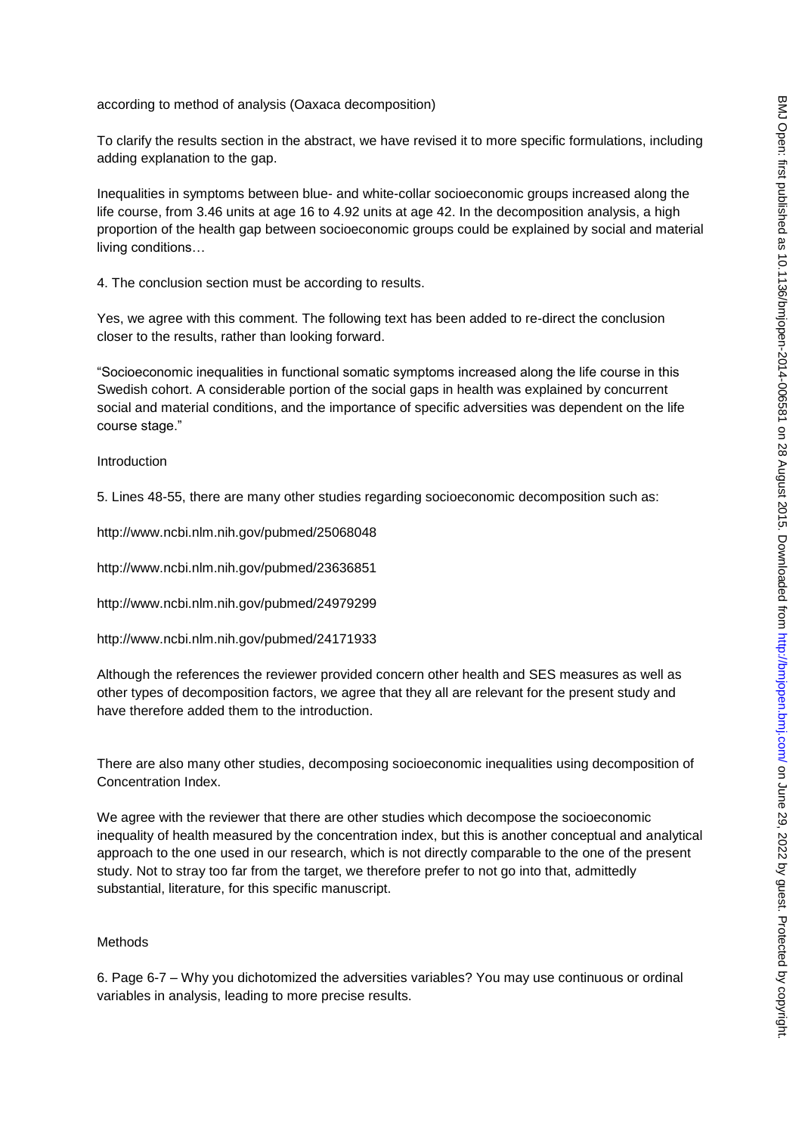according to method of analysis (Oaxaca decomposition)

To clarify the results section in the abstract, we have revised it to more specific formulations, including adding explanation to the gap.

Inequalities in symptoms between blue- and white-collar socioeconomic groups increased along the life course, from 3.46 units at age 16 to 4.92 units at age 42. In the decomposition analysis, a high proportion of the health gap between socioeconomic groups could be explained by social and material living conditions…

4. The conclusion section must be according to results.

Yes, we agree with this comment. The following text has been added to re-direct the conclusion closer to the results, rather than looking forward.

"Socioeconomic inequalities in functional somatic symptoms increased along the life course in this Swedish cohort. A considerable portion of the social gaps in health was explained by concurrent social and material conditions, and the importance of specific adversities was dependent on the life course stage."

Introduction

5. Lines 48-55, there are many other studies regarding socioeconomic decomposition such as:

http://www.ncbi.nlm.nih.gov/pubmed/25068048

http://www.ncbi.nlm.nih.gov/pubmed/23636851

http://www.ncbi.nlm.nih.gov/pubmed/24979299

http://www.ncbi.nlm.nih.gov/pubmed/24171933

Although the references the reviewer provided concern other health and SES measures as well as other types of decomposition factors, we agree that they all are relevant for the present study and have therefore added them to the introduction.

There are also many other studies, decomposing socioeconomic inequalities using decomposition of Concentration Index.

We agree with the reviewer that there are other studies which decompose the socioeconomic inequality of health measured by the concentration index, but this is another conceptual and analytical approach to the one used in our research, which is not directly comparable to the one of the present study. Not to stray too far from the target, we therefore prefer to not go into that, admittedly substantial, literature, for this specific manuscript.

### Methods

6. Page 6-7 – Why you dichotomized the adversities variables? You may use continuous or ordinal variables in analysis, leading to more precise results.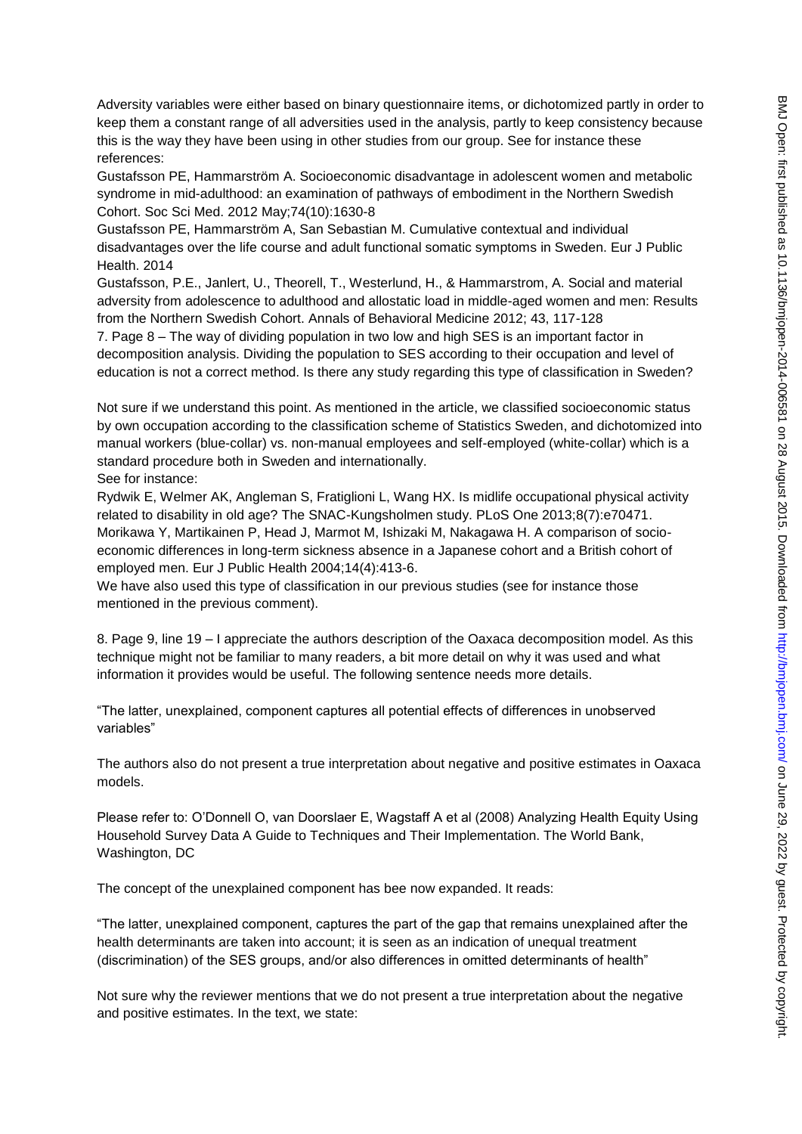Adversity variables were either based on binary questionnaire items, or dichotomized partly in order to keep them a constant range of all adversities used in the analysis, partly to keep consistency because this is the way they have been using in other studies from our group. See for instance these references:

Gustafsson PE, Hammarström A. Socioeconomic disadvantage in adolescent women and metabolic syndrome in mid-adulthood: an examination of pathways of embodiment in the Northern Swedish Cohort. Soc Sci Med. 2012 May;74(10):1630-8

Gustafsson PE, Hammarström A, San Sebastian M. Cumulative contextual and individual disadvantages over the life course and adult functional somatic symptoms in Sweden. Eur J Public Health. 2014

Gustafsson, P.E., Janlert, U., Theorell, T., Westerlund, H., & Hammarstrom, A. Social and material adversity from adolescence to adulthood and allostatic load in middle-aged women and men: Results from the Northern Swedish Cohort. Annals of Behavioral Medicine 2012; 43, 117-128

7. Page 8 – The way of dividing population in two low and high SES is an important factor in decomposition analysis. Dividing the population to SES according to their occupation and level of education is not a correct method. Is there any study regarding this type of classification in Sweden?

Not sure if we understand this point. As mentioned in the article, we classified socioeconomic status by own occupation according to the classification scheme of Statistics Sweden, and dichotomized into manual workers (blue-collar) vs. non-manual employees and self-employed (white-collar) which is a standard procedure both in Sweden and internationally.

See for instance:

Rydwik E, Welmer AK, Angleman S, Fratiglioni L, Wang HX. Is midlife occupational physical activity related to disability in old age? The SNAC-Kungsholmen study. PLoS One 2013;8(7):e70471. Morikawa Y, Martikainen P, Head J, Marmot M, Ishizaki M, Nakagawa H. A comparison of socioeconomic differences in long-term sickness absence in a Japanese cohort and a British cohort of employed men. Eur J Public Health 2004;14(4):413-6.

We have also used this type of classification in our previous studies (see for instance those mentioned in the previous comment).

8. Page 9, line 19 – I appreciate the authors description of the Oaxaca decomposition model. As this technique might not be familiar to many readers, a bit more detail on why it was used and what information it provides would be useful. The following sentence needs more details.

"The latter, unexplained, component captures all potential effects of differences in unobserved variables"

The authors also do not present a true interpretation about negative and positive estimates in Oaxaca models.

Please refer to: O'Donnell O, van Doorslaer E, Wagstaff A et al (2008) Analyzing Health Equity Using Household Survey Data A Guide to Techniques and Their Implementation. The World Bank, Washington, DC

The concept of the unexplained component has bee now expanded. It reads:

"The latter, unexplained component, captures the part of the gap that remains unexplained after the health determinants are taken into account; it is seen as an indication of unequal treatment (discrimination) of the SES groups, and/or also differences in omitted determinants of health"

Not sure why the reviewer mentions that we do not present a true interpretation about the negative and positive estimates. In the text, we state: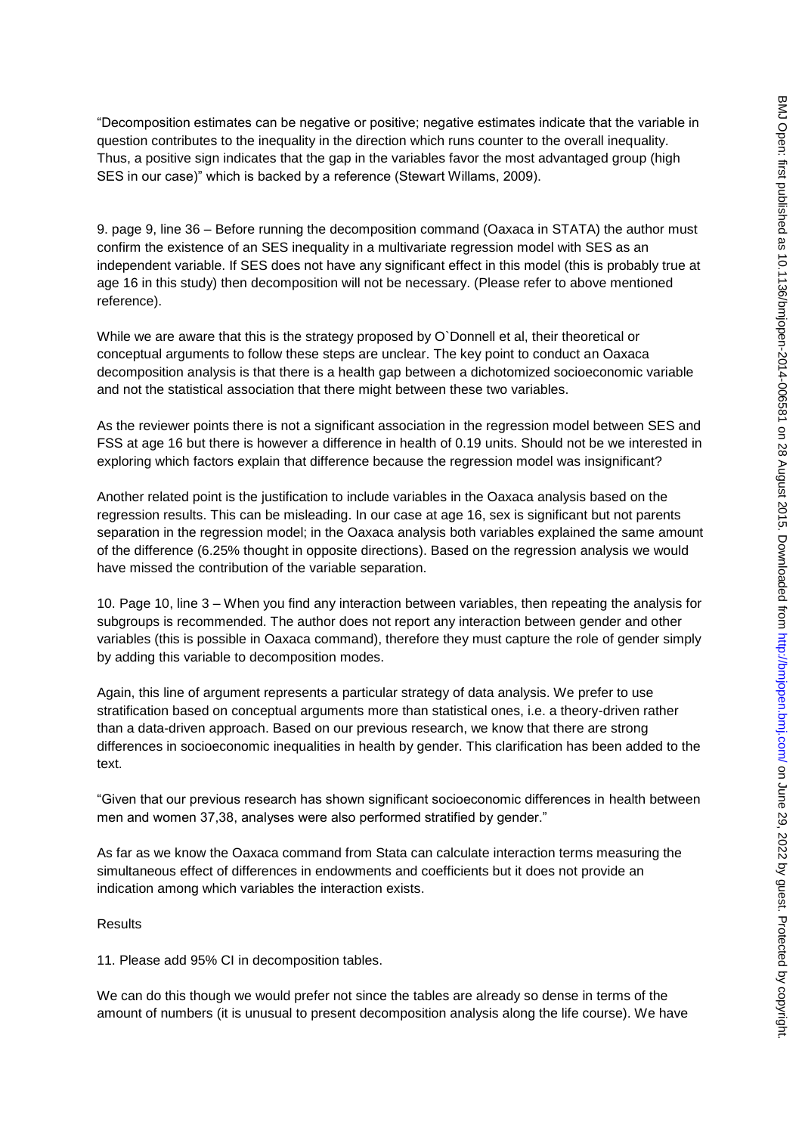"Decomposition estimates can be negative or positive; negative estimates indicate that the variable in question contributes to the inequality in the direction which runs counter to the overall inequality. Thus, a positive sign indicates that the gap in the variables favor the most advantaged group (high SES in our case)" which is backed by a reference (Stewart Willams, 2009).

9. page 9, line 36 – Before running the decomposition command (Oaxaca in STATA) the author must confirm the existence of an SES inequality in a multivariate regression model with SES as an independent variable. If SES does not have any significant effect in this model (this is probably true at age 16 in this study) then decomposition will not be necessary. (Please refer to above mentioned reference).

While we are aware that this is the strategy proposed by O`Donnell et al, their theoretical or conceptual arguments to follow these steps are unclear. The key point to conduct an Oaxaca decomposition analysis is that there is a health gap between a dichotomized socioeconomic variable and not the statistical association that there might between these two variables.

As the reviewer points there is not a significant association in the regression model between SES and FSS at age 16 but there is however a difference in health of 0.19 units. Should not be we interested in exploring which factors explain that difference because the regression model was insignificant?

Another related point is the justification to include variables in the Oaxaca analysis based on the regression results. This can be misleading. In our case at age 16, sex is significant but not parents separation in the regression model; in the Oaxaca analysis both variables explained the same amount of the difference (6.25% thought in opposite directions). Based on the regression analysis we would have missed the contribution of the variable separation.

10. Page 10, line 3 – When you find any interaction between variables, then repeating the analysis for subgroups is recommended. The author does not report any interaction between gender and other variables (this is possible in Oaxaca command), therefore they must capture the role of gender simply by adding this variable to decomposition modes.

Again, this line of argument represents a particular strategy of data analysis. We prefer to use stratification based on conceptual arguments more than statistical ones, i.e. a theory-driven rather than a data-driven approach. Based on our previous research, we know that there are strong differences in socioeconomic inequalities in health by gender. This clarification has been added to the text.

"Given that our previous research has shown significant socioeconomic differences in health between men and women 37,38, analyses were also performed stratified by gender."

As far as we know the Oaxaca command from Stata can calculate interaction terms measuring the simultaneous effect of differences in endowments and coefficients but it does not provide an indication among which variables the interaction exists.

## Results

11. Please add 95% CI in decomposition tables.

We can do this though we would prefer not since the tables are already so dense in terms of the amount of numbers (it is unusual to present decomposition analysis along the life course). We have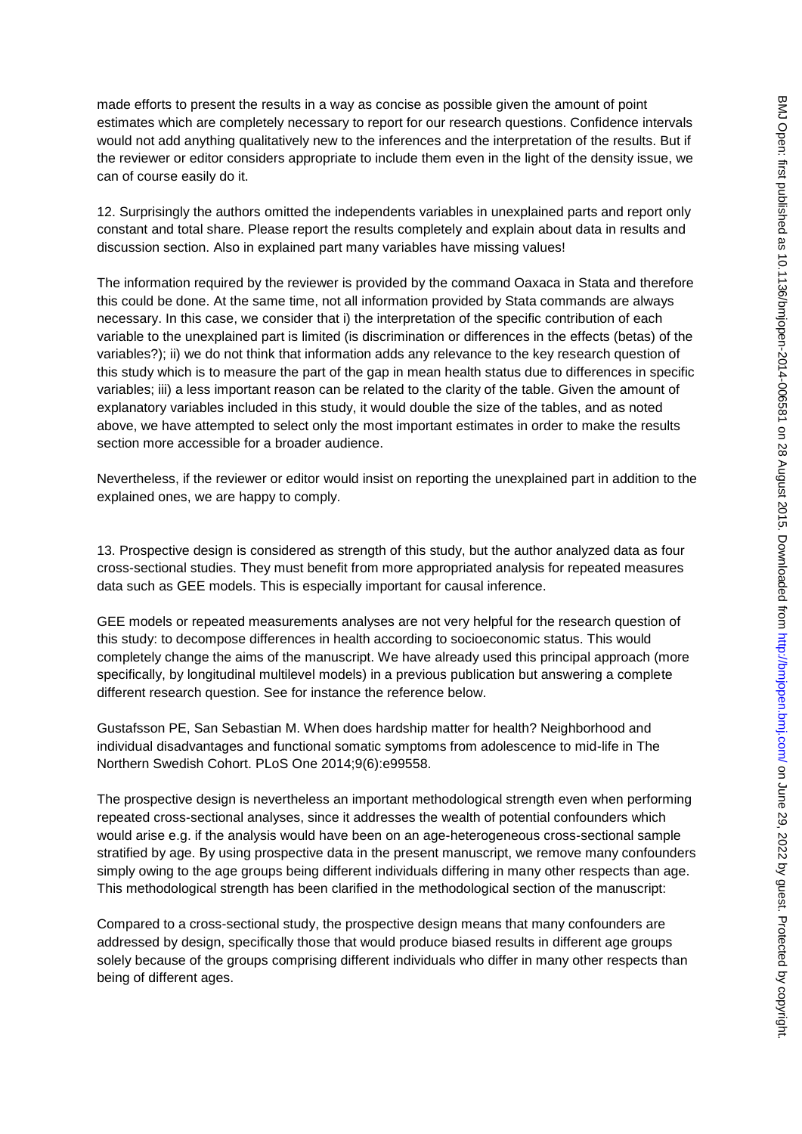made efforts to present the results in a way as concise as possible given the amount of point estimates which are completely necessary to report for our research questions. Confidence intervals would not add anything qualitatively new to the inferences and the interpretation of the results. But if the reviewer or editor considers appropriate to include them even in the light of the density issue, we can of course easily do it.

12. Surprisingly the authors omitted the independents variables in unexplained parts and report only constant and total share. Please report the results completely and explain about data in results and discussion section. Also in explained part many variables have missing values!

The information required by the reviewer is provided by the command Oaxaca in Stata and therefore this could be done. At the same time, not all information provided by Stata commands are always necessary. In this case, we consider that i) the interpretation of the specific contribution of each variable to the unexplained part is limited (is discrimination or differences in the effects (betas) of the variables?); ii) we do not think that information adds any relevance to the key research question of this study which is to measure the part of the gap in mean health status due to differences in specific variables; iii) a less important reason can be related to the clarity of the table. Given the amount of explanatory variables included in this study, it would double the size of the tables, and as noted above, we have attempted to select only the most important estimates in order to make the results section more accessible for a broader audience.

Nevertheless, if the reviewer or editor would insist on reporting the unexplained part in addition to the explained ones, we are happy to comply.

13. Prospective design is considered as strength of this study, but the author analyzed data as four cross-sectional studies. They must benefit from more appropriated analysis for repeated measures data such as GEE models. This is especially important for causal inference.

GEE models or repeated measurements analyses are not very helpful for the research question of this study: to decompose differences in health according to socioeconomic status. This would completely change the aims of the manuscript. We have already used this principal approach (more specifically, by longitudinal multilevel models) in a previous publication but answering a complete different research question. See for instance the reference below.

Gustafsson PE, San Sebastian M. When does hardship matter for health? Neighborhood and individual disadvantages and functional somatic symptoms from adolescence to mid-life in The Northern Swedish Cohort. PLoS One 2014;9(6):e99558.

The prospective design is nevertheless an important methodological strength even when performing repeated cross-sectional analyses, since it addresses the wealth of potential confounders which would arise e.g. if the analysis would have been on an age-heterogeneous cross-sectional sample stratified by age. By using prospective data in the present manuscript, we remove many confounders simply owing to the age groups being different individuals differing in many other respects than age. This methodological strength has been clarified in the methodological section of the manuscript:

Compared to a cross-sectional study, the prospective design means that many confounders are addressed by design, specifically those that would produce biased results in different age groups solely because of the groups comprising different individuals who differ in many other respects than being of different ages.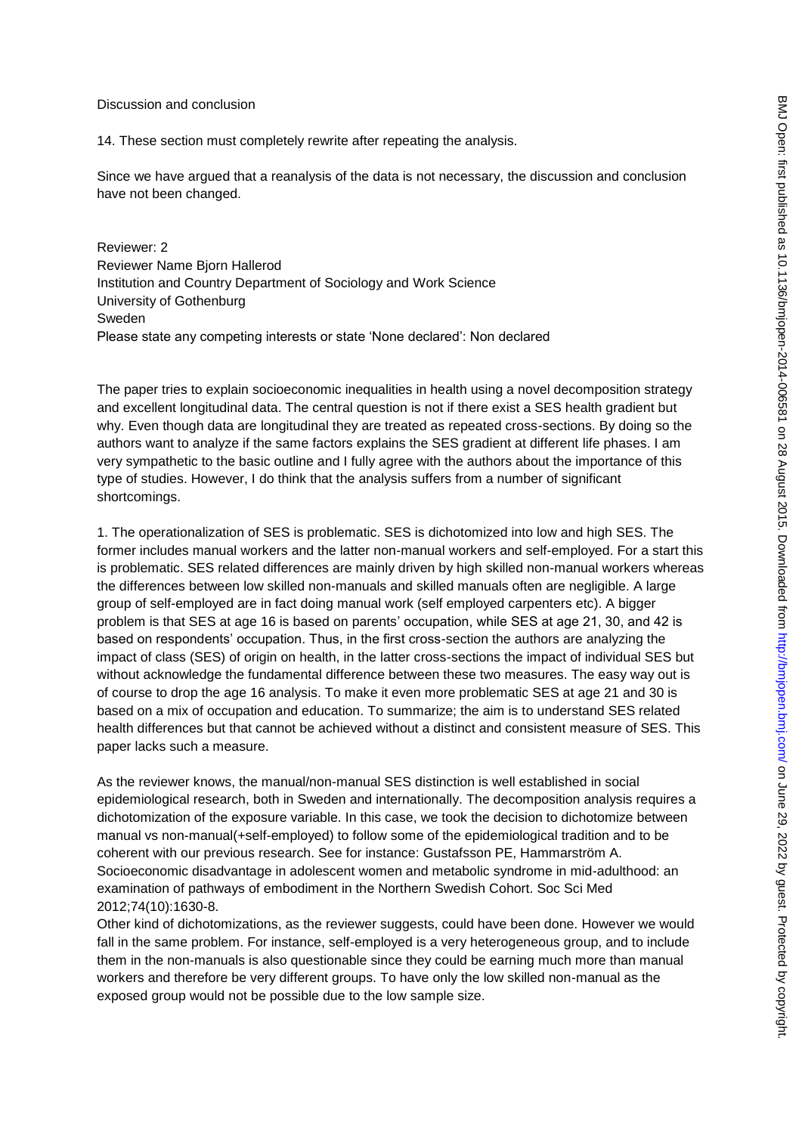#### Discussion and conclusion

14. These section must completely rewrite after repeating the analysis.

Since we have argued that a reanalysis of the data is not necessary, the discussion and conclusion have not been changed.

Reviewer: 2 Reviewer Name Bjorn Hallerod Institution and Country Department of Sociology and Work Science University of Gothenburg Sweden Please state any competing interests or state 'None declared': Non declared

The paper tries to explain socioeconomic inequalities in health using a novel decomposition strategy and excellent longitudinal data. The central question is not if there exist a SES health gradient but why. Even though data are longitudinal they are treated as repeated cross-sections. By doing so the authors want to analyze if the same factors explains the SES gradient at different life phases. I am very sympathetic to the basic outline and I fully agree with the authors about the importance of this type of studies. However, I do think that the analysis suffers from a number of significant shortcomings.

1. The operationalization of SES is problematic. SES is dichotomized into low and high SES. The former includes manual workers and the latter non-manual workers and self-employed. For a start this is problematic. SES related differences are mainly driven by high skilled non-manual workers whereas the differences between low skilled non-manuals and skilled manuals often are negligible. A large group of self-employed are in fact doing manual work (self employed carpenters etc). A bigger problem is that SES at age 16 is based on parents' occupation, while SES at age 21, 30, and 42 is based on respondents' occupation. Thus, in the first cross-section the authors are analyzing the impact of class (SES) of origin on health, in the latter cross-sections the impact of individual SES but without acknowledge the fundamental difference between these two measures. The easy way out is of course to drop the age 16 analysis. To make it even more problematic SES at age 21 and 30 is based on a mix of occupation and education. To summarize; the aim is to understand SES related health differences but that cannot be achieved without a distinct and consistent measure of SES. This paper lacks such a measure.

As the reviewer knows, the manual/non-manual SES distinction is well established in social epidemiological research, both in Sweden and internationally. The decomposition analysis requires a dichotomization of the exposure variable. In this case, we took the decision to dichotomize between manual vs non-manual(+self-employed) to follow some of the epidemiological tradition and to be coherent with our previous research. See for instance: Gustafsson PE, Hammarström A. Socioeconomic disadvantage in adolescent women and metabolic syndrome in mid-adulthood: an examination of pathways of embodiment in the Northern Swedish Cohort. Soc Sci Med 2012;74(10):1630-8.

Other kind of dichotomizations, as the reviewer suggests, could have been done. However we would fall in the same problem. For instance, self-employed is a very heterogeneous group, and to include them in the non-manuals is also questionable since they could be earning much more than manual workers and therefore be very different groups. To have only the low skilled non-manual as the exposed group would not be possible due to the low sample size.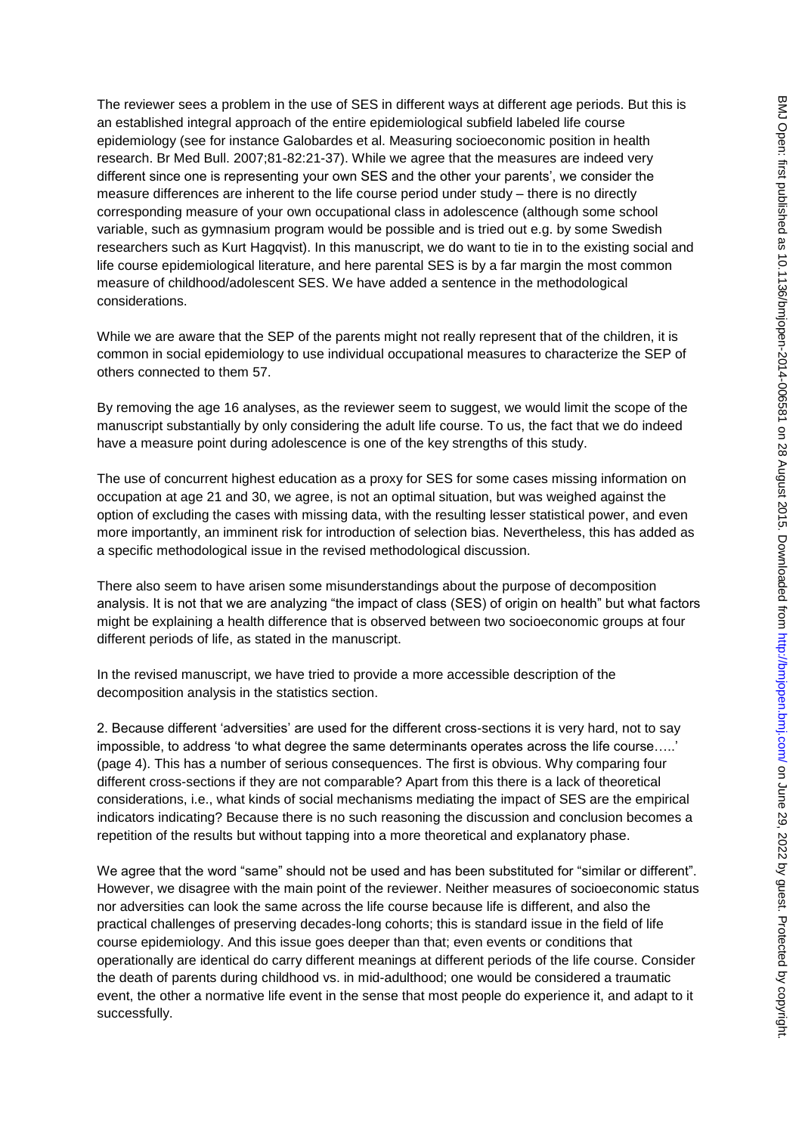The reviewer sees a problem in the use of SES in different ways at different age periods. But this is an established integral approach of the entire epidemiological subfield labeled life course epidemiology (see for instance Galobardes et al. Measuring socioeconomic position in health research. Br Med Bull. 2007;81-82:21-37). While we agree that the measures are indeed very different since one is representing your own SES and the other your parents', we consider the measure differences are inherent to the life course period under study – there is no directly corresponding measure of your own occupational class in adolescence (although some school variable, such as gymnasium program would be possible and is tried out e.g. by some Swedish researchers such as Kurt Hagqvist). In this manuscript, we do want to tie in to the existing social and life course epidemiological literature, and here parental SES is by a far margin the most common measure of childhood/adolescent SES. We have added a sentence in the methodological considerations.

While we are aware that the SEP of the parents might not really represent that of the children, it is common in social epidemiology to use individual occupational measures to characterize the SEP of others connected to them 57.

By removing the age 16 analyses, as the reviewer seem to suggest, we would limit the scope of the manuscript substantially by only considering the adult life course. To us, the fact that we do indeed have a measure point during adolescence is one of the key strengths of this study.

The use of concurrent highest education as a proxy for SES for some cases missing information on occupation at age 21 and 30, we agree, is not an optimal situation, but was weighed against the option of excluding the cases with missing data, with the resulting lesser statistical power, and even more importantly, an imminent risk for introduction of selection bias. Nevertheless, this has added as a specific methodological issue in the revised methodological discussion.

There also seem to have arisen some misunderstandings about the purpose of decomposition analysis. It is not that we are analyzing "the impact of class (SES) of origin on health" but what factors might be explaining a health difference that is observed between two socioeconomic groups at four different periods of life, as stated in the manuscript.

In the revised manuscript, we have tried to provide a more accessible description of the decomposition analysis in the statistics section.

2. Because different 'adversities' are used for the different cross-sections it is very hard, not to say impossible, to address 'to what degree the same determinants operates across the life course…..' (page 4). This has a number of serious consequences. The first is obvious. Why comparing four different cross-sections if they are not comparable? Apart from this there is a lack of theoretical considerations, i.e., what kinds of social mechanisms mediating the impact of SES are the empirical indicators indicating? Because there is no such reasoning the discussion and conclusion becomes a repetition of the results but without tapping into a more theoretical and explanatory phase.

We agree that the word "same" should not be used and has been substituted for "similar or different". However, we disagree with the main point of the reviewer. Neither measures of socioeconomic status nor adversities can look the same across the life course because life is different, and also the practical challenges of preserving decades-long cohorts; this is standard issue in the field of life course epidemiology. And this issue goes deeper than that; even events or conditions that operationally are identical do carry different meanings at different periods of the life course. Consider the death of parents during childhood vs. in mid-adulthood; one would be considered a traumatic event, the other a normative life event in the sense that most people do experience it, and adapt to it successfully.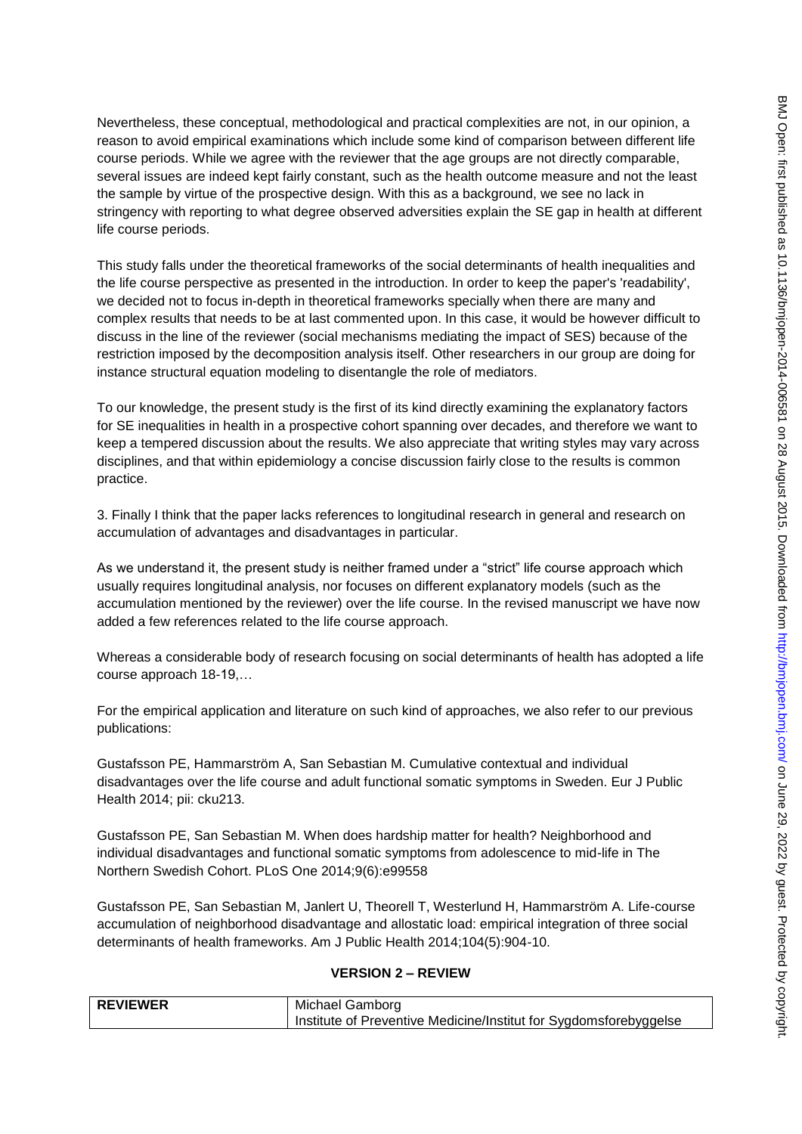Nevertheless, these conceptual, methodological and practical complexities are not, in our opinion, a reason to avoid empirical examinations which include some kind of comparison between different life course periods. While we agree with the reviewer that the age groups are not directly comparable, several issues are indeed kept fairly constant, such as the health outcome measure and not the least the sample by virtue of the prospective design. With this as a background, we see no lack in stringency with reporting to what degree observed adversities explain the SE gap in health at different life course periods.

This study falls under the theoretical frameworks of the social determinants of health inequalities and the life course perspective as presented in the introduction. In order to keep the paper's 'readability', we decided not to focus in-depth in theoretical frameworks specially when there are many and complex results that needs to be at last commented upon. In this case, it would be however difficult to discuss in the line of the reviewer (social mechanisms mediating the impact of SES) because of the restriction imposed by the decomposition analysis itself. Other researchers in our group are doing for instance structural equation modeling to disentangle the role of mediators.

To our knowledge, the present study is the first of its kind directly examining the explanatory factors for SE inequalities in health in a prospective cohort spanning over decades, and therefore we want to keep a tempered discussion about the results. We also appreciate that writing styles may vary across disciplines, and that within epidemiology a concise discussion fairly close to the results is common practice.

3. Finally I think that the paper lacks references to longitudinal research in general and research on accumulation of advantages and disadvantages in particular.

As we understand it, the present study is neither framed under a "strict" life course approach which usually requires longitudinal analysis, nor focuses on different explanatory models (such as the accumulation mentioned by the reviewer) over the life course. In the revised manuscript we have now added a few references related to the life course approach.

Whereas a considerable body of research focusing on social determinants of health has adopted a life course approach 18-19,…

For the empirical application and literature on such kind of approaches, we also refer to our previous publications:

Gustafsson PE, Hammarström A, San Sebastian M. Cumulative contextual and individual disadvantages over the life course and adult functional somatic symptoms in Sweden. Eur J Public Health 2014; pii: cku213.

Gustafsson PE, San Sebastian M. When does hardship matter for health? Neighborhood and individual disadvantages and functional somatic symptoms from adolescence to mid-life in The Northern Swedish Cohort. PLoS One 2014;9(6):e99558

Gustafsson PE, San Sebastian M, Janlert U, Theorell T, Westerlund H, Hammarström A. Life-course accumulation of neighborhood disadvantage and allostatic load: empirical integration of three social determinants of health frameworks. Am J Public Health 2014;104(5):904-10.

## **VERSION 2 – REVIEW**

| <b>REVIEWER</b> | Michael Gamborg                                                     |
|-----------------|---------------------------------------------------------------------|
|                 | I Institute of Preventive Medicine/Institut for Sygdomsforebyggelse |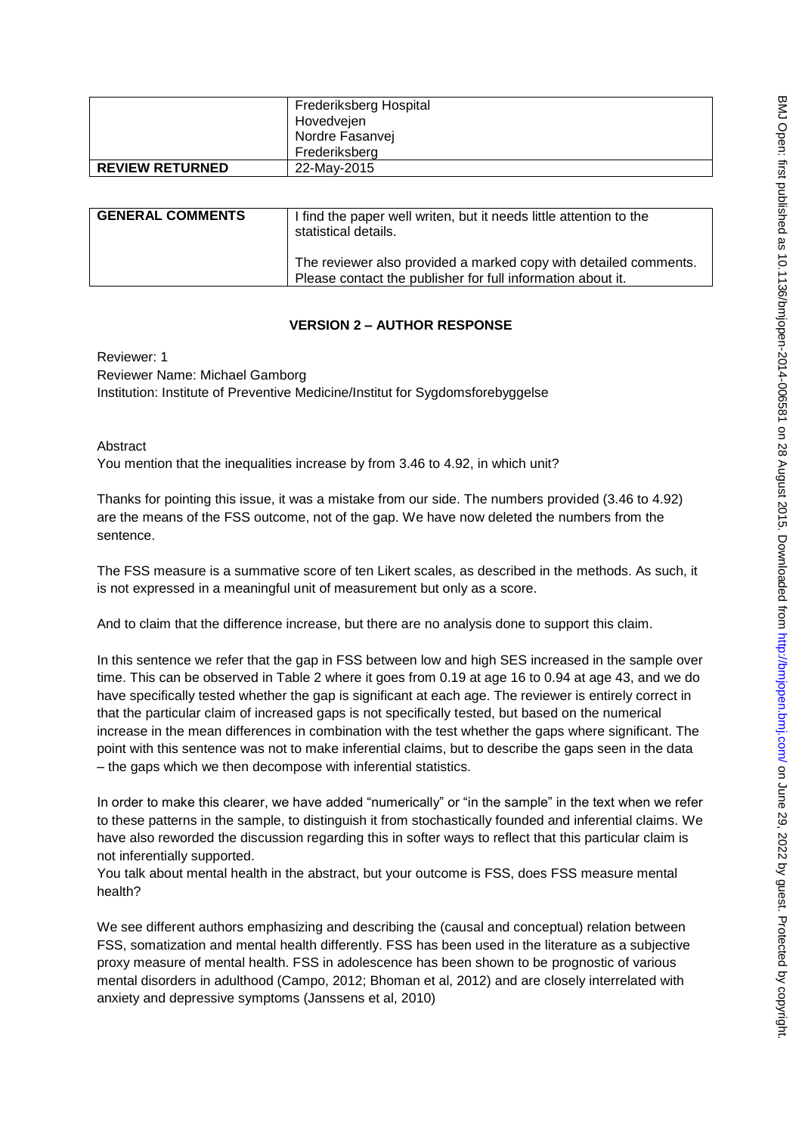|                        | Frederiksberg Hospital<br>Hovedvejen |
|------------------------|--------------------------------------|
|                        | Nordre Fasanvej                      |
|                        | Frederiksberg                        |
| <b>REVIEW RETURNED</b> | 22-May-2015                          |

| <b>GENERAL COMMENTS</b> | I find the paper well writen, but it needs little attention to the<br>statistical details.<br>The reviewer also provided a marked copy with detailed comments. |
|-------------------------|----------------------------------------------------------------------------------------------------------------------------------------------------------------|
|                         |                                                                                                                                                                |
|                         | Please contact the publisher for full information about it.                                                                                                    |

## **VERSION 2 – AUTHOR RESPONSE**

Reviewer: 1 Reviewer Name: Michael Gamborg Institution: Institute of Preventive Medicine/Institut for Sygdomsforebyggelse

Abstract

You mention that the inequalities increase by from 3.46 to 4.92, in which unit?

Thanks for pointing this issue, it was a mistake from our side. The numbers provided (3.46 to 4.92) are the means of the FSS outcome, not of the gap. We have now deleted the numbers from the sentence.

The FSS measure is a summative score of ten Likert scales, as described in the methods. As such, it is not expressed in a meaningful unit of measurement but only as a score.

And to claim that the difference increase, but there are no analysis done to support this claim.

In this sentence we refer that the gap in FSS between low and high SES increased in the sample over time. This can be observed in Table 2 where it goes from 0.19 at age 16 to 0.94 at age 43, and we do have specifically tested whether the gap is significant at each age. The reviewer is entirely correct in that the particular claim of increased gaps is not specifically tested, but based on the numerical increase in the mean differences in combination with the test whether the gaps where significant. The point with this sentence was not to make inferential claims, but to describe the gaps seen in the data – the gaps which we then decompose with inferential statistics.

In order to make this clearer, we have added "numerically" or "in the sample" in the text when we refer to these patterns in the sample, to distinguish it from stochastically founded and inferential claims. We have also reworded the discussion regarding this in softer ways to reflect that this particular claim is not inferentially supported.

You talk about mental health in the abstract, but your outcome is FSS, does FSS measure mental health?

We see different authors emphasizing and describing the (causal and conceptual) relation between FSS, somatization and mental health differently. FSS has been used in the literature as a subjective proxy measure of mental health. FSS in adolescence has been shown to be prognostic of various mental disorders in adulthood (Campo, 2012; Bhoman et al, 2012) and are closely interrelated with anxiety and depressive symptoms (Janssens et al, 2010)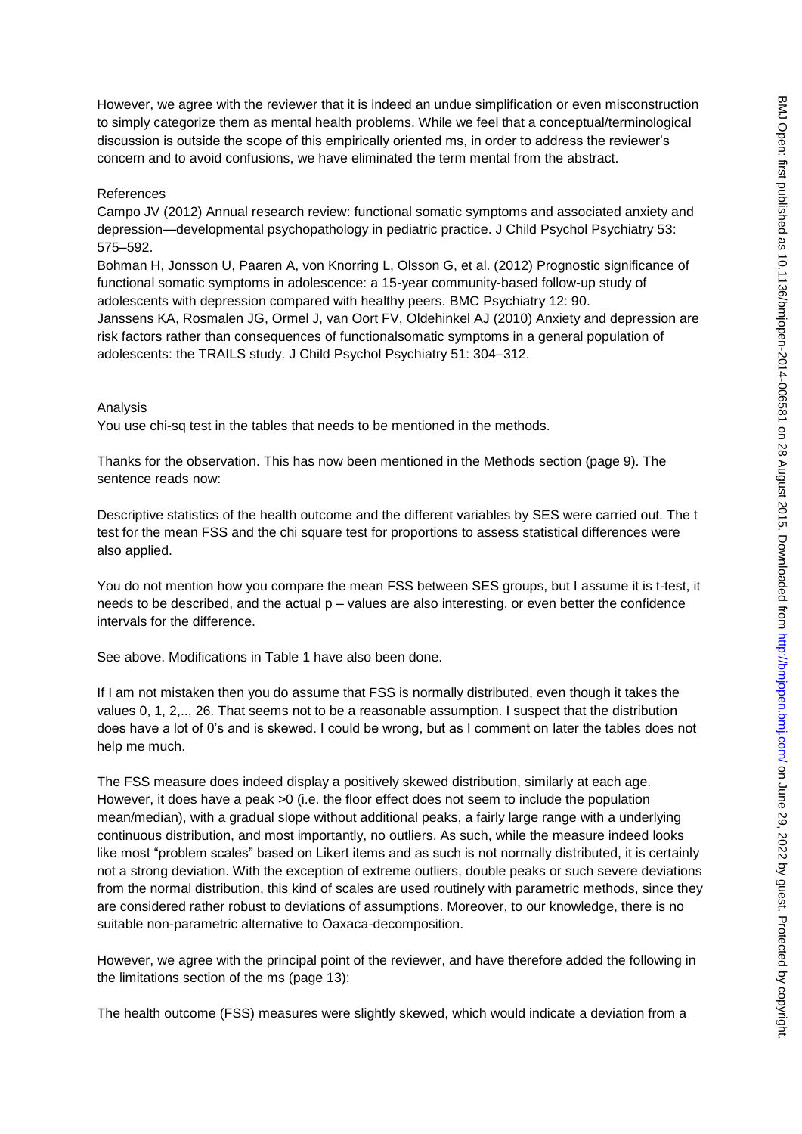However, we agree with the reviewer that it is indeed an undue simplification or even misconstruction to simply categorize them as mental health problems. While we feel that a conceptual/terminological discussion is outside the scope of this empirically oriented ms, in order to address the reviewer's concern and to avoid confusions, we have eliminated the term mental from the abstract.

### References

Campo JV (2012) Annual research review: functional somatic symptoms and associated anxiety and depression—developmental psychopathology in pediatric practice. J Child Psychol Psychiatry 53: 575–592.

Bohman H, Jonsson U, Paaren A, von Knorring L, Olsson G, et al. (2012) Prognostic significance of functional somatic symptoms in adolescence: a 15-year community-based follow-up study of adolescents with depression compared with healthy peers. BMC Psychiatry 12: 90. Janssens KA, Rosmalen JG, Ormel J, van Oort FV, Oldehinkel AJ (2010) Anxiety and depression are risk factors rather than consequences of functionalsomatic symptoms in a general population of adolescents: the TRAILS study. J Child Psychol Psychiatry 51: 304–312.

### Analysis

You use chi-sq test in the tables that needs to be mentioned in the methods.

Thanks for the observation. This has now been mentioned in the Methods section (page 9). The sentence reads now:

Descriptive statistics of the health outcome and the different variables by SES were carried out. The t test for the mean FSS and the chi square test for proportions to assess statistical differences were also applied.

You do not mention how you compare the mean FSS between SES groups, but I assume it is t-test, it needs to be described, and the actual p – values are also interesting, or even better the confidence intervals for the difference.

See above. Modifications in Table 1 have also been done.

If I am not mistaken then you do assume that FSS is normally distributed, even though it takes the values 0, 1, 2,.., 26. That seems not to be a reasonable assumption. I suspect that the distribution does have a lot of 0's and is skewed. I could be wrong, but as I comment on later the tables does not help me much.

The FSS measure does indeed display a positively skewed distribution, similarly at each age. However, it does have a peak >0 (i.e. the floor effect does not seem to include the population mean/median), with a gradual slope without additional peaks, a fairly large range with a underlying continuous distribution, and most importantly, no outliers. As such, while the measure indeed looks like most "problem scales" based on Likert items and as such is not normally distributed, it is certainly not a strong deviation. With the exception of extreme outliers, double peaks or such severe deviations from the normal distribution, this kind of scales are used routinely with parametric methods, since they are considered rather robust to deviations of assumptions. Moreover, to our knowledge, there is no suitable non-parametric alternative to Oaxaca-decomposition.

However, we agree with the principal point of the reviewer, and have therefore added the following in the limitations section of the ms (page 13):

The health outcome (FSS) measures were slightly skewed, which would indicate a deviation from a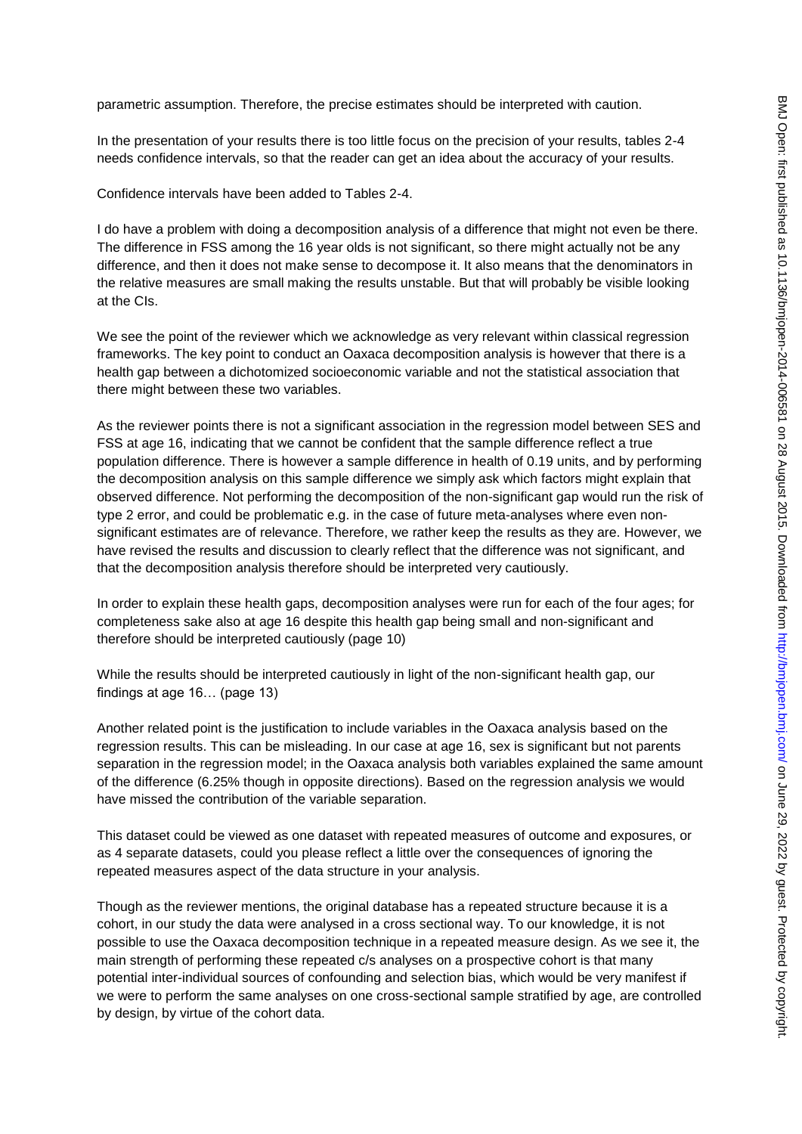parametric assumption. Therefore, the precise estimates should be interpreted with caution.

In the presentation of your results there is too little focus on the precision of your results, tables 2-4 needs confidence intervals, so that the reader can get an idea about the accuracy of your results.

Confidence intervals have been added to Tables 2-4.

I do have a problem with doing a decomposition analysis of a difference that might not even be there. The difference in FSS among the 16 year olds is not significant, so there might actually not be any difference, and then it does not make sense to decompose it. It also means that the denominators in the relative measures are small making the results unstable. But that will probably be visible looking at the CIs.

We see the point of the reviewer which we acknowledge as very relevant within classical regression frameworks. The key point to conduct an Oaxaca decomposition analysis is however that there is a health gap between a dichotomized socioeconomic variable and not the statistical association that there might between these two variables.

As the reviewer points there is not a significant association in the regression model between SES and FSS at age 16, indicating that we cannot be confident that the sample difference reflect a true population difference. There is however a sample difference in health of 0.19 units, and by performing the decomposition analysis on this sample difference we simply ask which factors might explain that observed difference. Not performing the decomposition of the non-significant gap would run the risk of type 2 error, and could be problematic e.g. in the case of future meta-analyses where even nonsignificant estimates are of relevance. Therefore, we rather keep the results as they are. However, we have revised the results and discussion to clearly reflect that the difference was not significant, and that the decomposition analysis therefore should be interpreted very cautiously.

In order to explain these health gaps, decomposition analyses were run for each of the four ages; for completeness sake also at age 16 despite this health gap being small and non-significant and therefore should be interpreted cautiously (page 10)

While the results should be interpreted cautiously in light of the non-significant health gap, our findings at age 16… (page 13)

Another related point is the justification to include variables in the Oaxaca analysis based on the regression results. This can be misleading. In our case at age 16, sex is significant but not parents separation in the regression model; in the Oaxaca analysis both variables explained the same amount of the difference (6.25% though in opposite directions). Based on the regression analysis we would have missed the contribution of the variable separation.

This dataset could be viewed as one dataset with repeated measures of outcome and exposures, or as 4 separate datasets, could you please reflect a little over the consequences of ignoring the repeated measures aspect of the data structure in your analysis.

Though as the reviewer mentions, the original database has a repeated structure because it is a cohort, in our study the data were analysed in a cross sectional way. To our knowledge, it is not possible to use the Oaxaca decomposition technique in a repeated measure design. As we see it, the main strength of performing these repeated c/s analyses on a prospective cohort is that many potential inter-individual sources of confounding and selection bias, which would be very manifest if we were to perform the same analyses on one cross-sectional sample stratified by age, are controlled by design, by virtue of the cohort data.